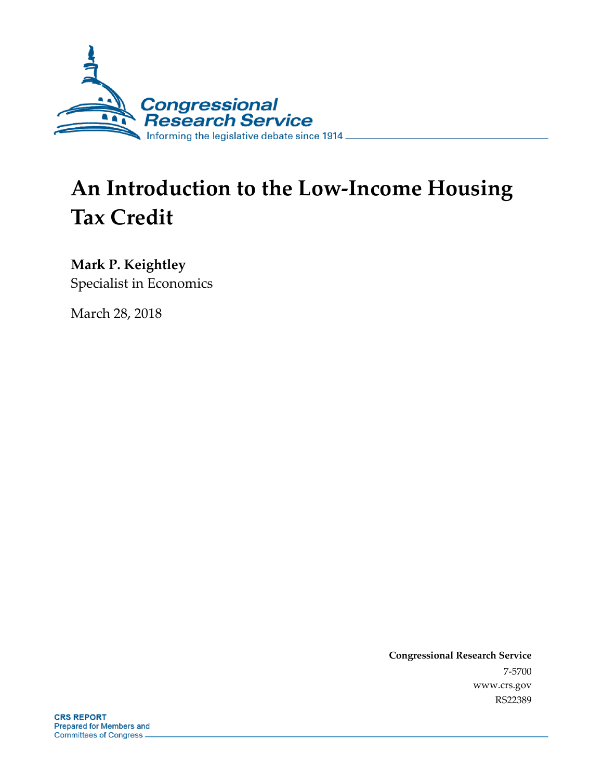

# **An Introduction to the Low-Income Housing Tax Credit**

**Mark P. Keightley**

Specialist in Economics

March 28, 2018

**Congressional Research Service** 7-5700 www.crs.gov RS22389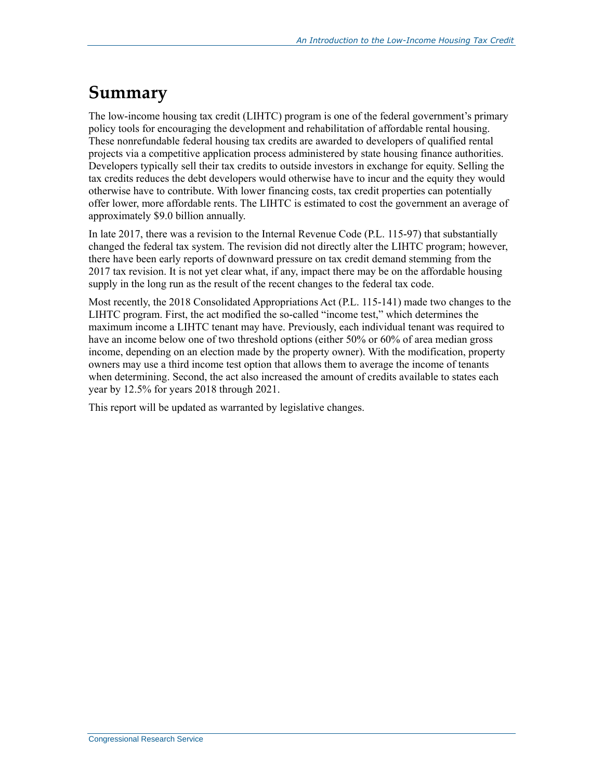### **Summary**

The low-income housing tax credit (LIHTC) program is one of the federal government's primary policy tools for encouraging the development and rehabilitation of affordable rental housing. These nonrefundable federal housing tax credits are awarded to developers of qualified rental projects via a competitive application process administered by state housing finance authorities. Developers typically sell their tax credits to outside investors in exchange for equity. Selling the tax credits reduces the debt developers would otherwise have to incur and the equity they would otherwise have to contribute. With lower financing costs, tax credit properties can potentially offer lower, more affordable rents. The LIHTC is estimated to cost the government an average of approximately \$9.0 billion annually.

In late 2017, there was a revision to the Internal Revenue Code (P.L. 115-97) that substantially changed the federal tax system. The revision did not directly alter the LIHTC program; however, there have been early reports of downward pressure on tax credit demand stemming from the 2017 tax revision. It is not yet clear what, if any, impact there may be on the affordable housing supply in the long run as the result of the recent changes to the federal tax code.

Most recently, the 2018 Consolidated Appropriations Act (P.L. 115-141) made two changes to the LIHTC program. First, the act modified the so-called "income test," which determines the maximum income a LIHTC tenant may have. Previously, each individual tenant was required to have an income below one of two threshold options (either 50% or 60% of area median gross income, depending on an election made by the property owner). With the modification, property owners may use a third income test option that allows them to average the income of tenants when determining. Second, the act also increased the amount of credits available to states each year by 12.5% for years 2018 through 2021.

This report will be updated as warranted by legislative changes.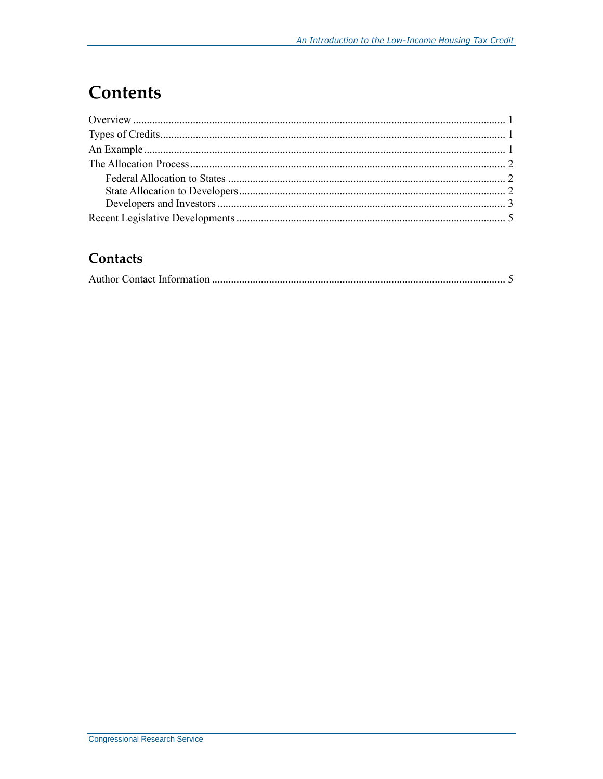# **Contents**

#### Contacts

|--|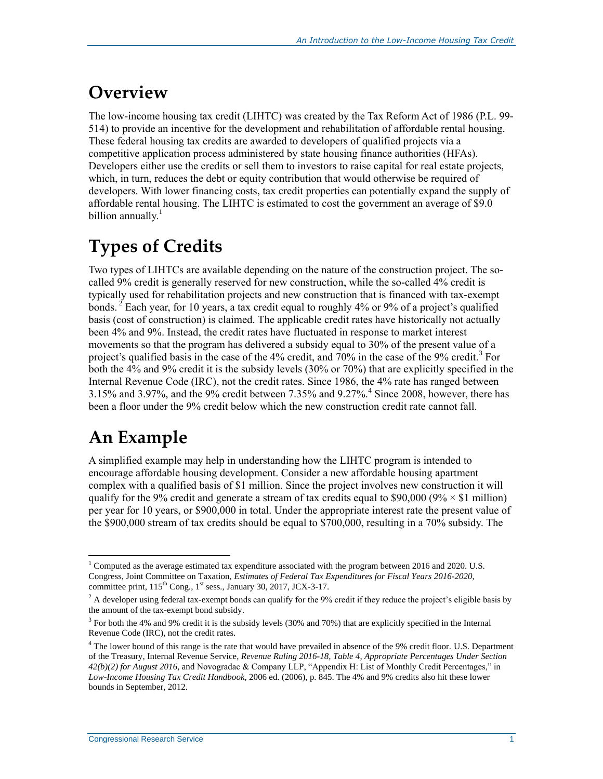### **Overview**

The low-income housing tax credit (LIHTC) was created by the Tax Reform Act of 1986 (P.L. 99- 514) to provide an incentive for the development and rehabilitation of affordable rental housing. These federal housing tax credits are awarded to developers of qualified projects via a competitive application process administered by state housing finance authorities (HFAs). Developers either use the credits or sell them to investors to raise capital for real estate projects, which, in turn, reduces the debt or equity contribution that would otherwise be required of developers. With lower financing costs, tax credit properties can potentially expand the supply of affordable rental housing. The LIHTC is estimated to cost the government an average of \$9.0 billion annually. $<sup>1</sup>$ </sup>

# **Types of Credits**

Two types of LIHTCs are available depending on the nature of the construction project. The socalled 9% credit is generally reserved for new construction, while the so-called 4% credit is typically used for rehabilitation projects and new construction that is financed with tax-exempt bonds. <sup>2</sup> Each year, for 10 years, a tax credit equal to roughly 4% or 9% of a project's qualified basis (cost of construction) is claimed. The applicable credit rates have historically not actually been 4% and 9%. Instead, the credit rates have fluctuated in response to market interest movements so that the program has delivered a subsidy equal to 30% of the present value of a project's qualified basis in the case of the 4% credit, and  $70\%$  in the case of the 9% credit.<sup>3</sup> For both the 4% and 9% credit it is the subsidy levels (30% or 70%) that are explicitly specified in the Internal Revenue Code (IRC), not the credit rates. Since 1986, the 4% rate has ranged between 3.15% and 3.97%, and the 9% credit between 7.35% and 9.27%.<sup>4</sup> Since 2008, however, there has been a floor under the 9% credit below which the new construction credit rate cannot fall.

# **An Example**

A simplified example may help in understanding how the LIHTC program is intended to encourage affordable housing development. Consider a new affordable housing apartment complex with a qualified basis of \$1 million. Since the project involves new construction it will qualify for the 9% credit and generate a stream of tax credits equal to \$90,000 (9%  $\times$  \$1 million) per year for 10 years, or \$900,000 in total. Under the appropriate interest rate the present value of the \$900,000 stream of tax credits should be equal to \$700,000, resulting in a 70% subsidy. The

 $\overline{a}$ <sup>1</sup> Computed as the average estimated tax expenditure associated with the program between 2016 and 2020. U.S. Congress, Joint Committee on Taxation, *Estimates of Federal Tax Expenditures for Fiscal Years 2016-2020*, committee print, 115<sup>th</sup> Cong., 1<sup>st</sup> sess., January 30, 2017, JCX-3-17.

 $2<sup>2</sup>$  A developer using federal tax-exempt bonds can qualify for the 9% credit if they reduce the project's eligible basis by the amount of the tax-exempt bond subsidy.

<sup>&</sup>lt;sup>3</sup> For both the 4% and 9% credit it is the subsidy levels (30% and 70%) that are explicitly specified in the Internal Revenue Code (IRC), not the credit rates.

<sup>4</sup> The lower bound of this range is the rate that would have prevailed in absence of the 9% credit floor. U.S. Department of the Treasury, Internal Revenue Service, *Revenue Ruling 2016-18, Table 4, Appropriate Percentages Under Section 42(b)(2) for August 2016,* and Novogradac & Company LLP, "Appendix H: List of Monthly Credit Percentages," in *Low-Income Housing Tax Credit Handbook*, 2006 ed. (2006), p. 845. The 4% and 9% credits also hit these lower bounds in September, 2012.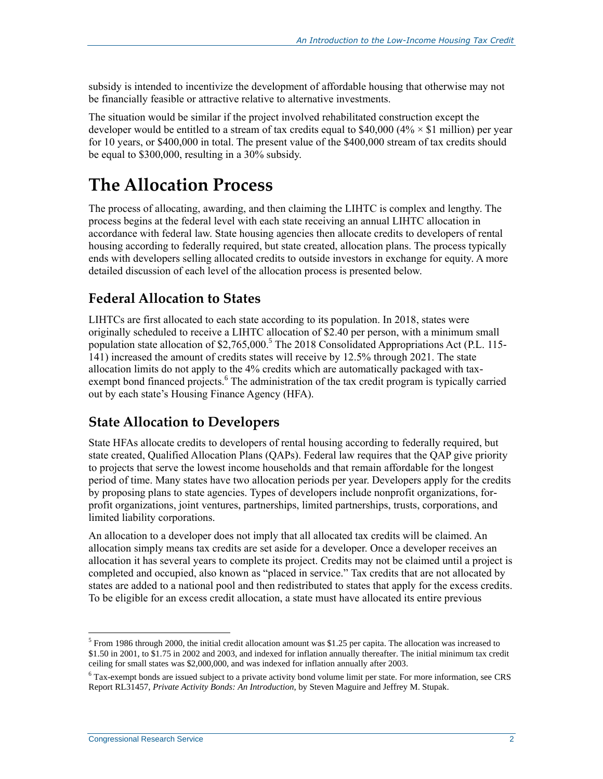subsidy is intended to incentivize the development of affordable housing that otherwise may not be financially feasible or attractive relative to alternative investments.

The situation would be similar if the project involved rehabilitated construction except the developer would be entitled to a stream of tax credits equal to \$40,000 ( $4\% \times $1$  million) per year for 10 years, or \$400,000 in total. The present value of the \$400,000 stream of tax credits should be equal to \$300,000, resulting in a 30% subsidy.

### <span id="page-4-0"></span>**The Allocation Process**

The process of allocating, awarding, and then claiming the LIHTC is complex and lengthy. The process begins at the federal level with each state receiving an annual LIHTC allocation in accordance with federal law. State housing agencies then allocate credits to developers of rental housing according to federally required, but state created, allocation plans. The process typically ends with developers selling allocated credits to outside investors in exchange for equity. A more detailed discussion of each level of the allocation process is presented below.

### **Federal Allocation to States**

LIHTCs are first allocated to each state according to its population. In 2018, states were originally scheduled to receive a LIHTC allocation of \$2.40 per person, with a minimum small population state allocation of \$2,765,000. <sup>5</sup> The 2018 Consolidated Appropriations Act (P.L. 115- 141) increased the amount of credits states will receive by 12.5% through 2021. The state allocation limits do not apply to the 4% credits which are automatically packaged with taxexempt bond financed projects.<sup>6</sup> The administration of the tax credit program is typically carried out by each state's Housing Finance Agency (HFA).

#### **State Allocation to Developers**

State HFAs allocate credits to developers of rental housing according to federally required, but state created, Qualified Allocation Plans (QAPs). Federal law requires that the QAP give priority to projects that serve the lowest income households and that remain affordable for the longest period of time. Many states have two allocation periods per year. Developers apply for the credits by proposing plans to state agencies. Types of developers include nonprofit organizations, forprofit organizations, joint ventures, partnerships, limited partnerships, trusts, corporations, and limited liability corporations.

An allocation to a developer does not imply that all allocated tax credits will be claimed. An allocation simply means tax credits are set aside for a developer. Once a developer receives an allocation it has several years to complete its project. Credits may not be claimed until a project is completed and occupied, also known as "placed in service." Tax credits that are not allocated by states are added to a national pool and then redistributed to states that apply for the excess credits. To be eligible for an excess credit allocation, a state must have allocated its entire previous

 $\overline{a}$ <sup>5</sup> From 1986 through 2000, the initial credit allocation amount was \$1.25 per capita. The allocation was increased to \$1.50 in 2001, to \$1.75 in 2002 and 2003, and indexed for inflation annually thereafter. The initial minimum tax credit ceiling for small states was \$2,000,000, and was indexed for inflation annually after 2003.

<sup>6</sup> Tax-exempt bonds are issued subject to a private activity bond volume limit per state. For more information, see CRS Report RL31457, *Private Activity Bonds: An Introduction*, by Steven Maguire and Jeffrey M. Stupak.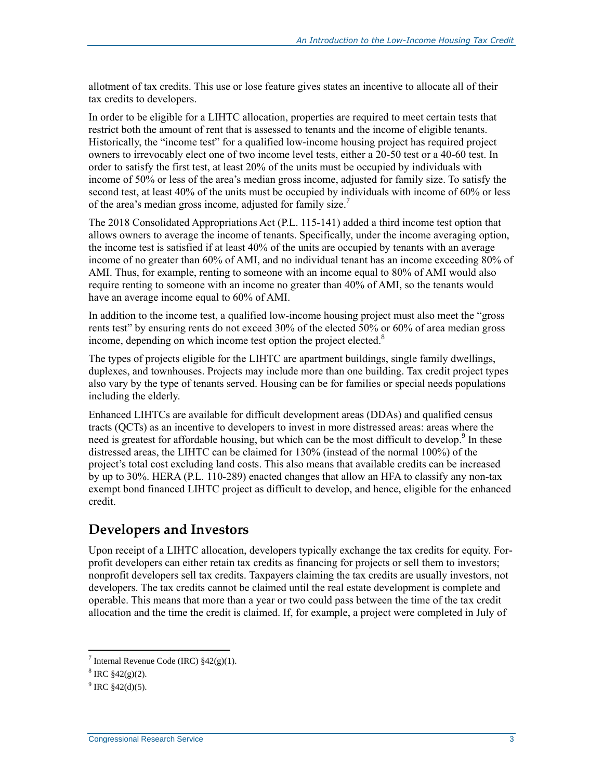allotment of tax credits. This use or lose feature gives states an incentive to allocate all of their tax credits to developers.

In order to be eligible for a LIHTC allocation, properties are required to meet certain tests that restrict both the amount of rent that is assessed to tenants and the income of eligible tenants. Historically, the "income test" for a qualified low-income housing project has required project owners to irrevocably elect one of two income level tests, either a 20-50 test or a 40-60 test. In order to satisfy the first test, at least 20% of the units must be occupied by individuals with income of 50% or less of the area's median gross income, adjusted for family size. To satisfy the second test, at least 40% of the units must be occupied by individuals with income of 60% or less of the area's median gross income, adjusted for family size.<sup>7</sup>

The 2018 Consolidated Appropriations Act (P.L. 115-141) added a third income test option that allows owners to average the income of tenants. Specifically, under the income averaging option, the income test is satisfied if at least 40% of the units are occupied by tenants with an average income of no greater than 60% of AMI, and no individual tenant has an income exceeding 80% of AMI. Thus, for example, renting to someone with an income equal to 80% of AMI would also require renting to someone with an income no greater than 40% of AMI, so the tenants would have an average income equal to 60% of AMI.

In addition to the income test, a qualified low-income housing project must also meet the "gross rents test" by ensuring rents do not exceed 30% of the elected 50% or 60% of area median gross income, depending on which income test option the project elected.<sup>8</sup>

The types of projects eligible for the LIHTC are apartment buildings, single family dwellings, duplexes, and townhouses. Projects may include more than one building. Tax credit project types also vary by the type of tenants served. Housing can be for families or special needs populations including the elderly.

Enhanced LIHTCs are available for difficult development areas (DDAs) and qualified census tracts (QCTs) as an incentive to developers to invest in more distressed areas: areas where the need is greatest for affordable housing, but which can be the most difficult to develop.<sup>9</sup> In these distressed areas, the LIHTC can be claimed for 130% (instead of the normal 100%) of the project's total cost excluding land costs. This also means that available credits can be increased by up to 30%. HERA (P.L. 110-289) enacted changes that allow an HFA to classify any non-tax exempt bond financed LIHTC project as difficult to develop, and hence, eligible for the enhanced credit.

#### **Developers and Investors**

Upon receipt of a LIHTC allocation, developers typically exchange the tax credits for equity. Forprofit developers can either retain tax credits as financing for projects or sell them to investors; nonprofit developers sell tax credits. Taxpayers claiming the tax credits are usually investors, not developers. The tax credits cannot be claimed until the real estate development is complete and operable. This means that more than a year or two could pass between the time of the tax credit allocation and the time the credit is claimed. If, for example, a project were completed in July of

 $\overline{a}$ 

<sup>&</sup>lt;sup>7</sup> Internal Revenue Code (IRC)  $§42(g)(1)$ .

 $8 \text{ IRC } $42(g)(2)$ .

 $9^9$  IRC  $$42(d)(5)$ .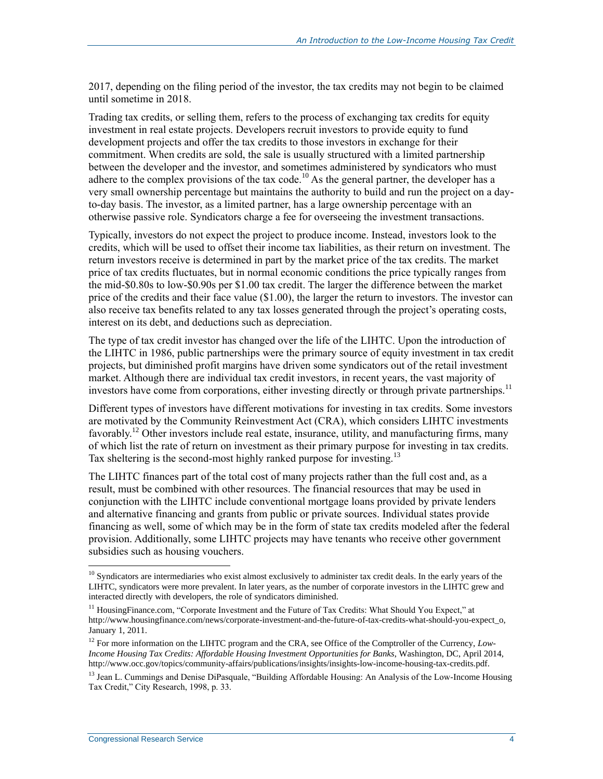2017, depending on the filing period of the investor, the tax credits may not begin to be claimed until sometime in 2018.

Trading tax credits, or selling them, refers to the process of exchanging tax credits for equity investment in real estate projects. Developers recruit investors to provide equity to fund development projects and offer the tax credits to those investors in exchange for their commitment. When credits are sold, the sale is usually structured with a limited partnership between the developer and the investor, and sometimes administered by syndicators who must adhere to the complex provisions of the tax code.<sup>10</sup> As the general partner, the developer has a very small ownership percentage but maintains the authority to build and run the project on a dayto-day basis. The investor, as a limited partner, has a large ownership percentage with an otherwise passive role. Syndicators charge a fee for overseeing the investment transactions.

Typically, investors do not expect the project to produce income. Instead, investors look to the credits, which will be used to offset their income tax liabilities, as their return on investment. The return investors receive is determined in part by the market price of the tax credits. The market price of tax credits fluctuates, but in normal economic conditions the price typically ranges from the mid-\$0.80s to low-\$0.90s per \$1.00 tax credit. The larger the difference between the market price of the credits and their face value (\$1.00), the larger the return to investors. The investor can also receive tax benefits related to any tax losses generated through the project's operating costs, interest on its debt, and deductions such as depreciation.

The type of tax credit investor has changed over the life of the LIHTC. Upon the introduction of the LIHTC in 1986, public partnerships were the primary source of equity investment in tax credit projects, but diminished profit margins have driven some syndicators out of the retail investment market. Although there are individual tax credit investors, in recent years, the vast majority of investors have come from corporations, either investing directly or through private partnerships.<sup>11</sup>

Different types of investors have different motivations for investing in tax credits. Some investors are motivated by the Community Reinvestment Act (CRA), which considers LIHTC investments favorably.<sup>12</sup> Other investors include real estate, insurance, utility, and manufacturing firms, many of which list the rate of return on investment as their primary purpose for investing in tax credits. Tax sheltering is the second-most highly ranked purpose for investing.<sup>13</sup>

The LIHTC finances part of the total cost of many projects rather than the full cost and, as a result, must be combined with other resources. The financial resources that may be used in conjunction with the LIHTC include conventional mortgage loans provided by private lenders and alternative financing and grants from public or private sources. Individual states provide financing as well, some of which may be in the form of state tax credits modeled after the federal provision. Additionally, some LIHTC projects may have tenants who receive other government subsidies such as housing vouchers.

 $\overline{a}$ 

 $10$  Syndicators are intermediaries who exist almost exclusively to administer tax credit deals. In the early years of the LIHTC, syndicators were more prevalent. In later years, as the number of corporate investors in the LIHTC grew and interacted directly with developers, the role of syndicators diminished.

<sup>&</sup>lt;sup>11</sup> HousingFinance.com, "Corporate Investment and the Future of Tax Credits: What Should You Expect," at http://www.housingfinance.com/news/corporate-investment-and-the-future-of-tax-credits-what-should-you-expect\_o, January 1, 2011.

<sup>&</sup>lt;sup>12</sup> For more information on the LIHTC program and the CRA, see Office of the Comptroller of the Currency, *Low*-*Income Housing Tax Credits: Affordable Housing Investment Opportunities for Banks*, Washington, DC, April 2014, http://www.occ.gov/topics/community-affairs/publications/insights/insights-low-income-housing-tax-credits.pdf.

<sup>&</sup>lt;sup>13</sup> Jean L. Cummings and Denise DiPasquale, "Building Affordable Housing: An Analysis of the Low-Income Housing Tax Credit," City Research, 1998, p. 33.